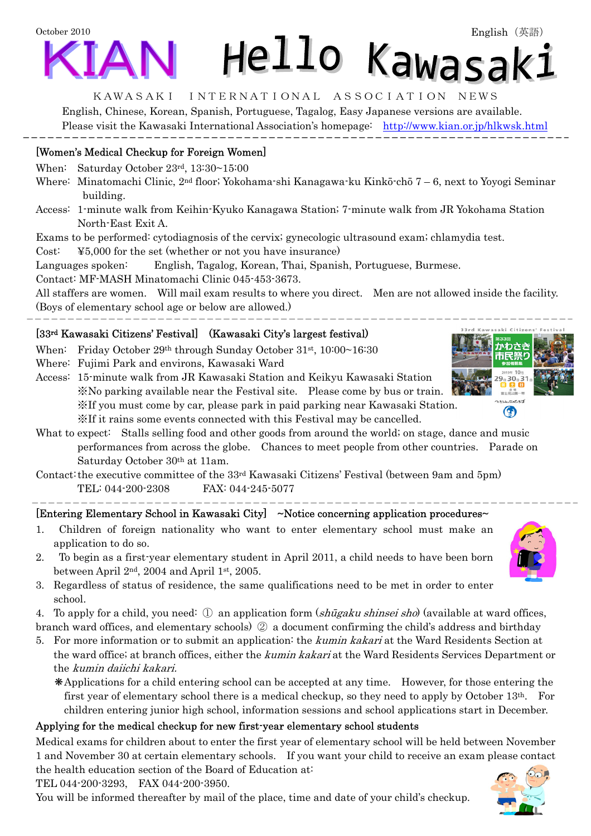# October 2010 Hello Kawasak:

#### KAWASAKI INTERNATIONAL ASSOCIATION NEWS

English, Chinese, Korean, Spanish, Portuguese, Tagalog, Easy Japanese versions are available. Please visit the Kawasaki International Association's homepage: <http://www.kian.or.jp/hlkwsk.html>

# [Women's Medical Checkup for Foreign Women]

When: Saturday October 23rd, 13:30~15:00

- Where: Minatomachi Clinic, 2nd floor; Yokohama-shi Kanagawa-ku Kinkō-chō 7 6, next to Yoyogi Seminar building.
- Access: 1-minute walk from Keihin-Kyuko Kanagawa Station; 7-minute walk from JR Yokohama Station North-East Exit A.

Exams to be performed: cytodiagnosis of the cervix; gynecologic ultrasound exam; chlamydia test.

Cost: ¥5,000 for the set (whether or not you have insurance)

Languages spoken: English, Tagalog, Korean, Thai, Spanish, Portuguese, Burmese.

Contact: MF-MASH Minatomachi Clinic 045-453-3673.

All staffers are women. Will mail exam results to where you direct. Men are not allowed inside the facility. (Boys of elementary school age or below are allowed.)

## [33rd Kawasaki Citizens' Festival] (Kawasaki City's largest festival)

When: Friday October 29th through Sunday October 31st, 10:00~16:30

- Where: Fujimi Park and environs, Kawasaki Ward
- Access: 15-minute walk from JR Kawasaki Station and Keikyu Kawasaki Station ※No parking available near the Festival site. Please come by bus or train. ※If you must come by car, please park in paid parking near Kawasaki Station. ※If it rains some events connected with this Festival may be cancelled.
- What to expect: Stalls selling food and other goods from around the world; on stage, dance and music performances from across the globe. Chances to meet people from other countries. Parade on Saturday October 30th at 11am.

Contact: the executive committee of the 33rd Kawasaki Citizens' Festival (between 9am and 5pm) TEL: 044-200-2308 FAX: 044-245-5077

# [Entering Elementary School in Kawasaki City] ~Notice concerning application procedures~

- 1. Children of foreign nationality who want to enter elementary school must make an application to do so.
- 2. To begin as a first-year elementary student in April 2011, a child needs to have been born between April 2nd, 2004 and April 1st, 2005.
- 3. Regardless of status of residence, the same qualifications need to be met in order to enter school.
- 4. To apply for a child, you need:  $\oplus$  an application form (shugaku shinsei sho) (available at ward offices,

branch ward offices, and elementary schools) ② a document confirming the child's address and birthday

- 5. For more information or to submit an application: the kumin kakari at the Ward Residents Section at the ward office; at branch offices, either the kumin kakari at the Ward Residents Services Department or the kumin daiichi kakari.
	- ❋Applications for a child entering school can be accepted at any time. However, for those entering the first year of elementary school there is a medical checkup, so they need to apply by October 13th. For children entering junior high school, information sessions and school applications start in December.

# Applying for the medical checkup for new first-year elementary school students

Medical exams for children about to enter the first year of elementary school will be held between November 1 and November 30 at certain elementary schools. If you want your child to receive an exam please contact the health education section of the Board of Education at:

TEL 044-200-3293, FAX 044-200-3950.

You will be informed thereafter by mail of the place, time and date of your child's checkup.